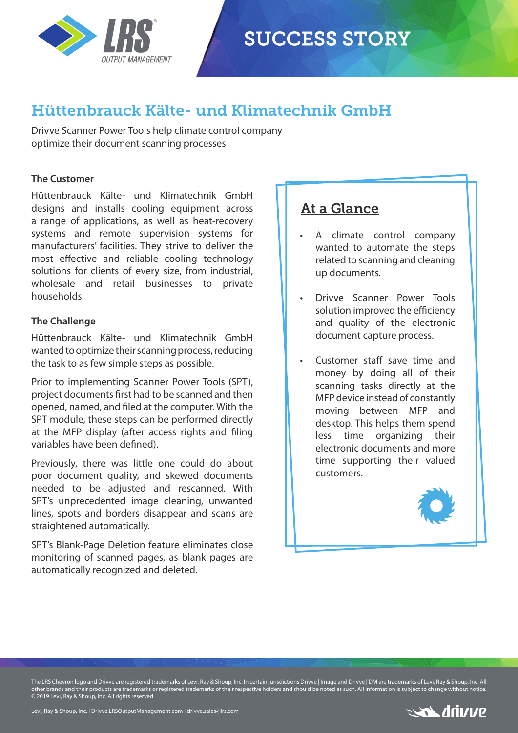

## **SUCCESS STORY**

## Hüttenbrauck Kälte- und Klimatechnik GmbH

Drivve Scanner Power Tools help climate control company optimize their document scanning processes

### **The Customer**

Hüttenbrauck Kälte- und Klimatechnik GmbH designs and installs cooling equipment across a range of applications, as well as heat-recovery systems and remote supervision systems for manufacturers' facilities. They strive to deliver the most effective and reliable cooling technology solutions for clients of every size, from industrial, wholesale and retail businesses to private households.

#### **The Challenge**

Hüttenbrauck Kälte- und Klimatechnik GmbH wanted to optimize their scanning process, reducing the task to as few simple steps as possible.

Prior to implementing Scanner Power Tools (SPT), project documents first had to be scanned and then opened, named, and filed at the computer. With the SPT module, these steps can be performed directly at the MFP display (after access rights and filing variables have been defined)

Previously, there was little one could do about poor document quality, and skewed documents needed to be adjusted and rescanned. With SPT's unprecedented image cleaning, unwanted lines, spots and borders disappear and scans are straightened automatically.

SPT's Blank-Page Deletion feature eliminates close monitoring of scanned pages, as blank pages are automatically recognized and deleted.

### At a Glance

- A climate control company wanted to automate the steps related to scanning and cleaning up documents.
- Drivve Scanner Power Tools solution improved the efficiency and quality of the electronic document capture process.
- Customer staff save time and money by doing all of their scanning tasks directly at the MFP device instead of constantly moving between MFP and desktop. This helps them spend less time organizing their electronic documents and more time supporting their valued customers.



The LRS Chevron logo and Drivve are registered trademarks of Levi, Ray & Shoup, Inc. In certain jurisdictions Drivve | Image and Drivve | DM are trademarks of Levi, Ray & Shoup, Inc. All other brands and their products are trademarks or registered trademarks of their respective holders and should be noted as such. All information is subject to change without notice. © 2019 Levi, Ray & Shoup, Inc. All rights reserved.